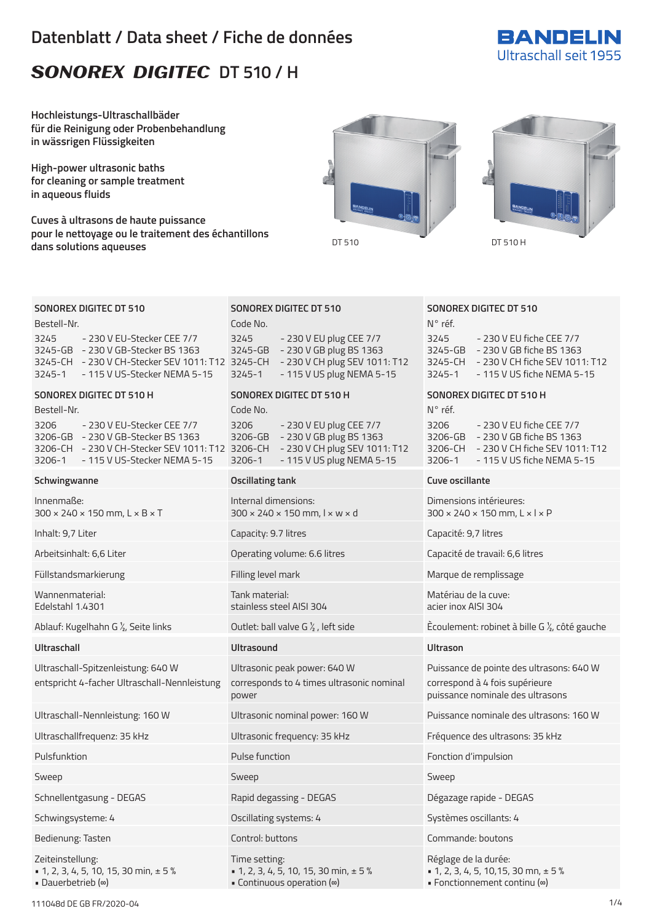# **Datenblatt / Data sheet / Fiche de données**

# SONOREX DIGITEC DT 510 / H



**Hochleistungs-Ultraschallbäder für die Reinigung oder Probenbehandlung in wässrigen Flüssigkeiten**

**High-power ultrasonic baths for cleaning or sample treatment in aqueous fluids**

**Cuves à ultrasons de haute puissance pour le nettoyage ou le traitement des échantillons** explore the constructions and constructions and constructions of the constructions of the DT 510 H dans solutions aqueuses





# **SONOREX DIGITEC DT 510**

Bestell-Nr. 3245 - 230 V EU-Stecker CEE 7/7 3245-GB - 230 V GB-Stecker BS 1363 3245-CH - 230 V CH-Stecker SEV 1011: T12 3245-CH - 230 V CH plug SEV 1011: T12 3245-1 - 115 V US-Stecker NEMA 5-15

# **SONOREX DIGITEC DT 510 H**

Bestell-Nr. 3206 - 230 V EU-Stecker CEE 7/7 3206-GB - 230 V GB-Stecker BS 1363 3206-CH - 230 V CH-Stecker SEV 1011: T12 3206-CH - 230 V CH plug SEV 1011: T12 3206-1 - 115 V US-Stecker NEMA 5-15

### **Schwingwanne Oscillating tank Cuve oscillante**

Innenmaße: 300 × 240 × 150 mm, L × B × T

Wannenmaterial: Edelstahl 1.4301

Ultraschall-Spitzenleistung: 640 W entspricht 4-facher Ultraschall-Nennleistung

Schnellentgasung - DEGAS Rapid degassing - DEGAS Dégazage rapide - DEGAS

Zeiteinstellung:

 $\bullet$  1, 2, 3, 4, 5, 10, 15, 30 min,  $\pm$  5 % • Dauerbetrieb (∞)

# **SONOREX DIGITEC DT 510**

Code No. 3245 - 230 V EU plug CEE 7/7 3245-GB - 230 V GB plug BS 1363 3245-1 - 115 V US plug NEMA 5-15

# **SONOREX DIGITEC DT 510 H**

# Code No.

3206 - 230 V EU plug CEE 7/7 3206-GB - 230 V GB plug BS 1363 3206-1 - 115 V US plug NEMA 5-15

Internal dimensions: 300 × 240 × 150 mm, l × w × d

Inhalt: 9,7 Liter Capacity: 9.7 litres Capacité: 9,7 litres

Tank material: stainless steel AISI 304

# **Ultraschall Ultrasound Ultrason**

Ultrasonic peak power: 640 W corresponds to 4 times ultrasonic nominal power

Sweep Sweep Sweep Sweep Sweep Sweep Sweep Sweep Sweep Sweep Sweep Sweep Sweep Sweep Sweep Sweep Sweep Sweep Sweep Sweep Sweep Sweep Sweep Sweep Sweep Sweep Sweep Sweep Sweep Sweep Sweep Sweep Sweep Sweep Sweep Sweep Sweep

Schwingsysteme: 4 **Systeme: 4** Oscillating systems: 4 Systèmes oscillants: 4

Time setting:  $\bullet$  1, 2, 3, 4, 5, 10, 15, 30 min,  $\pm$  5% • Continuous operation (∞)

# **SONOREX DIGITEC DT 510**

| N° réf.     |                                |
|-------------|--------------------------------|
| 3245        | - 230 V EU fiche CEE 7/7       |
| 3245-GB     | - 230 V GB fiche BS 1363       |
| $3245 - CH$ | - 230 V CH fiche SFV 1011: T12 |
| $3245 - 1$  | - 115 V US fiche NFMA 5-15     |
|             |                                |

# **SONOREX DIGITEC DT 510 H**

N° réf. 3206 - 230 V EU fiche CEE 7/7 3206-GB - 230 V GB fiche BS 1363 3206-CH - 230 V CH fiche SEV 1011: T12 3206-1 - 115 V US fiche NEMA 5-15

Dimensions intérieures: 300 × 240 × 150 mm, L × l × P

Arbeitsinhalt: 6,6 Liter Capacité de travail: 6,6 litres Capacité de travail: 6,6 litres Capacité de travail: 6,6 litres

Füllstandsmarkierung Filling level mark Marque de remplissage

Matériau de la cuve: acier inox AISI 304

Ablauf: Kugelhahn G ½, Seite links Outlet: ball valve G ½ , left side Ècoulement: robinet à bille G ½, côté gauche

Puissance de pointe des ultrasons: 640 W correspond à 4 fois supérieure puissance nominale des ultrasons

Ultraschall-Nennleistung: 160 W Ultrasonic nominal power: 160 W Puissance nominale des ultrasons: 160 W

Ultraschallfrequenz: 35 kHz Ultrasonic frequency: 35 kHz Fréquence des ultrasons: 35 kHz

Pulsfunktion Pulse function Fonction d'impulsion

Bedienung: Tasten Control: buttons Commande: boutons

Réglage de la durée:  $\bullet$  1, 2, 3, 4, 5, 10, 15, 30 mn,  $\pm$  5%

• Fonctionnement continu (∞)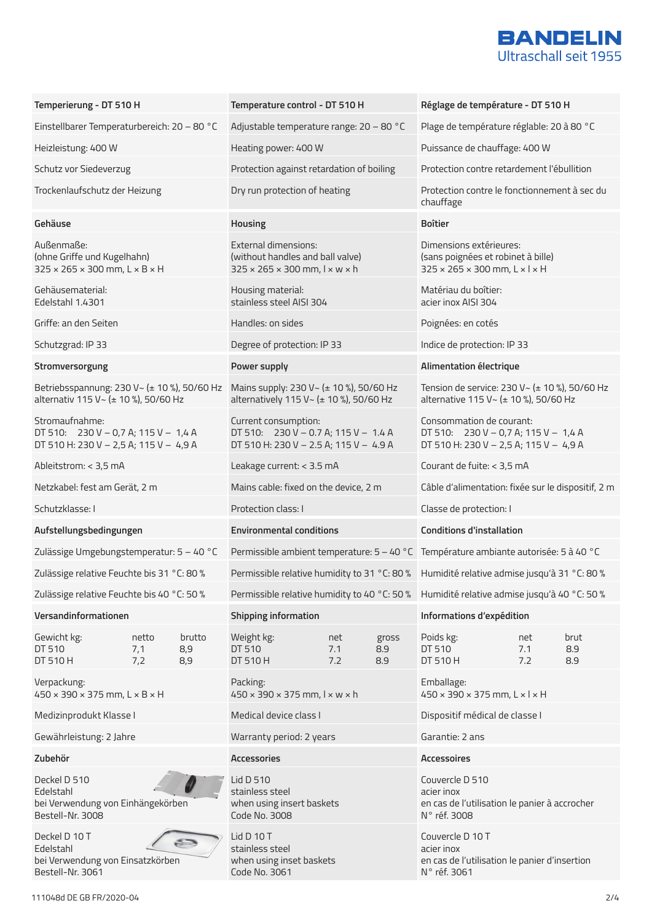

| Temperierung - DT 510 H                                                                             |                     | Temperature control - DT 510 H |                                                                                                                          |                   | Réglage de température - DT 510 H |                                                                                                                        |                   |                    |
|-----------------------------------------------------------------------------------------------------|---------------------|--------------------------------|--------------------------------------------------------------------------------------------------------------------------|-------------------|-----------------------------------|------------------------------------------------------------------------------------------------------------------------|-------------------|--------------------|
| Einstellbarer Temperaturbereich: 20 - 80 °C                                                         |                     |                                | Adjustable temperature range: 20 - 80 °C                                                                                 |                   |                                   | Plage de température réglable: 20 à 80 °C                                                                              |                   |                    |
| Heizleistung: 400 W                                                                                 |                     |                                | Heating power: 400 W                                                                                                     |                   |                                   | Puissance de chauffage: 400 W                                                                                          |                   |                    |
| Schutz vor Siedeverzug                                                                              |                     |                                | Protection against retardation of boiling                                                                                |                   |                                   | Protection contre retardement l'ébullition                                                                             |                   |                    |
| Trockenlaufschutz der Heizung                                                                       |                     |                                | Dry run protection of heating                                                                                            |                   |                                   | Protection contre le fonctionnement à sec du<br>chauffage                                                              |                   |                    |
| Gehäuse                                                                                             |                     |                                | Housing                                                                                                                  |                   |                                   | <b>Boîtier</b>                                                                                                         |                   |                    |
| Außenmaße:<br>(ohne Griffe und Kugelhahn)<br>$325 \times 265 \times 300$ mm, $L \times B \times H$  |                     |                                | <b>External dimensions:</b><br>(without handles and ball valve)<br>$325 \times 265 \times 300$ mm, $1 \times w \times h$ |                   |                                   | Dimensions extérieures:<br>(sans poignées et robinet à bille)<br>$325 \times 265 \times 300$ mm, $L \times 1 \times H$ |                   |                    |
| Gehäusematerial:<br>Edelstahl 1.4301                                                                |                     |                                | Housing material:<br>stainless steel AISI 304                                                                            |                   |                                   | Matériau du boîtier:<br>acier inox AISI 304                                                                            |                   |                    |
| Griffe: an den Seiten                                                                               |                     |                                | Handles: on sides                                                                                                        |                   |                                   | Poignées: en cotés                                                                                                     |                   |                    |
| Schutzgrad: IP 33                                                                                   |                     |                                | Degree of protection: IP 33                                                                                              |                   |                                   | Indice de protection: IP 33                                                                                            |                   |                    |
| Stromversorgung                                                                                     |                     |                                | Power supply                                                                                                             |                   |                                   | Alimentation électrique                                                                                                |                   |                    |
| Betriebsspannung: 230 V ~ (± 10 %), 50/60 Hz<br>alternativ 115 V~ (± 10 %), 50/60 Hz                |                     |                                | Mains supply: 230 V ~ (± 10 %), 50/60 Hz<br>alternatively 115 V ~ (± 10 %), 50/60 Hz                                     |                   |                                   | Tension de service: 230 V~ (± 10 %), 50/60 Hz<br>alternative 115 V ~ (± 10 %), 50/60 Hz                                |                   |                    |
| Stromaufnahme:<br>DT 510: $230 V - 0,7 A$ ; 115 V - 1,4 A<br>DT 510 H: 230 V - 2,5 A; 115 V - 4,9 A |                     |                                | Current consumption:<br>DT 510: $230 V - 0.7 A$ ; 115 V - 1.4 A<br>DT 510 H: 230 V - 2.5 A; 115 V - 4.9 A                |                   |                                   | Consommation de courant:<br>DT 510: $230 V - 0.7 A$ ; 115 V - 1.4 A<br>DT 510 H: 230 V - 2,5 A; 115 V - 4,9 A          |                   |                    |
| Ableitstrom: < 3,5 mA                                                                               |                     |                                | Leakage current: < 3.5 mA                                                                                                |                   |                                   | Courant de fuite: < 3,5 mA                                                                                             |                   |                    |
| Netzkabel: fest am Gerät, 2 m                                                                       |                     |                                | Mains cable: fixed on the device, 2 m                                                                                    |                   |                                   | Câble d'alimentation: fixée sur le dispositif, 2 m                                                                     |                   |                    |
| Schutzklasse: I                                                                                     |                     |                                | Protection class: I                                                                                                      |                   |                                   | Classe de protection: I                                                                                                |                   |                    |
| Aufstellungsbedingungen                                                                             |                     |                                | <b>Environmental conditions</b>                                                                                          |                   |                                   | <b>Conditions d'installation</b>                                                                                       |                   |                    |
| Zulässige Umgebungstemperatur: 5 - 40 °C                                                            |                     |                                | Permissible ambient temperature: 5 - 40 °C Température ambiante autorisée: 5 à 40 °C                                     |                   |                                   |                                                                                                                        |                   |                    |
| Zulässige relative Feuchte bis 31 °C: 80 %                                                          |                     |                                |                                                                                                                          |                   |                                   | Permissible relative humidity to 31 °C: 80 % Humidité relative admise jusqu'à 31 °C: 80 %                              |                   |                    |
| Zulässige relative Feuchte bis 40 °C: 50 %                                                          |                     |                                |                                                                                                                          |                   |                                   | Permissible relative humidity to 40 °C: 50 % Humidité relative admise jusqu'à 40 °C: 50 %                              |                   |                    |
| Versandinformationen                                                                                |                     |                                | Shipping information                                                                                                     |                   |                                   | Informations d'expédition                                                                                              |                   |                    |
| Gewicht kg:<br>DT 510<br>DT 510 H                                                                   | netto<br>7,1<br>7,2 | brutto<br>8,9<br>8,9           | Weight kg:<br>DT 510<br>DT 510 H                                                                                         | net<br>7.1<br>7.2 | gross<br>8.9<br>8.9               | Poids kg:<br>DT 510<br>DT 510 H                                                                                        | net<br>7.1<br>7.2 | brut<br>8.9<br>8.9 |
| Verpackung:<br>$450 \times 390 \times 375$ mm, $L \times B \times H$                                |                     |                                | Packing:<br>$450 \times 390 \times 375$ mm, $1 \times w \times h$                                                        |                   |                                   | Emballage:<br>$450 \times 390 \times 375$ mm, $L \times l \times H$                                                    |                   |                    |
| Medizinprodukt Klasse I                                                                             |                     |                                | Medical device class I                                                                                                   |                   |                                   | Dispositif médical de classe I                                                                                         |                   |                    |
| Gewährleistung: 2 Jahre                                                                             |                     |                                | Warranty period: 2 years                                                                                                 |                   |                                   | Garantie: 2 ans                                                                                                        |                   |                    |
| Zubehör                                                                                             |                     |                                | <b>Accessories</b>                                                                                                       |                   |                                   | <b>Accessoires</b>                                                                                                     |                   |                    |
| Deckel D 510<br>Edelstahl<br>bei Verwendung von Einhängekörben<br>Bestell-Nr. 3008                  |                     |                                | Lid D 510<br>stainless steel<br>when using insert baskets<br>Code No. 3008                                               |                   |                                   | Couvercle D 510<br>acier inox<br>en cas de l'utilisation le panier à accrocher<br>N° réf. 3008                         |                   |                    |
| Deckel D 10 T<br>Edelstahl<br>bei Verwendung von Einsatzkörben<br>Bestell-Nr. 3061                  |                     |                                | Lid D 10 T<br>stainless steel<br>when using inset baskets<br>Code No. 3061                                               |                   |                                   | Couvercle D 10 T<br>acier inox<br>en cas de l'utilisation le panier d'insertion<br>N° réf. 3061                        |                   |                    |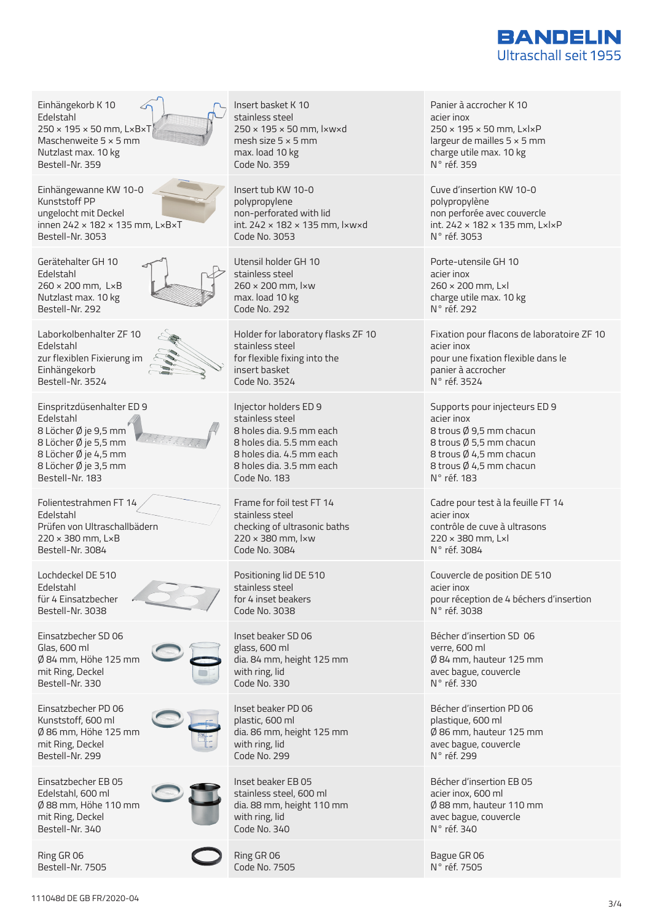

Einhängekorb K 10 Edelstahl 250 × 195 × 50 mm, L×B×T Maschenweite 5 × 5 mm Nutzlast max. 10 kg Bestell-Nr. 359 Einhängewanne KW 10-0 Kunststoff PP ungelocht mit Deckel innen 242 × 182 × 135 mm, L×B×T Bestell-Nr. 3053 Gerätehalter GH 10 Edelstahl 260 × 200 mm, L×B Nutzlast max. 10 kg Bestell-Nr. 292 Laborkolbenhalter ZF 10 Edelstahl zur flexiblen Fixierung im Einhängekorb Bestell-Nr. 3524 Einspritzdüsenhalter ED 9 Edelstahl 8 Löcher Ø je 9,5 mm 8 Löcher Ø je 5,5 mm 8 Löcher Ø je 4,5 mm 8 Löcher Ø je 3,5 mm Bestell-Nr. 183 Folientestrahmen FT 14 Edelstahl Prüfen von Ultraschallbädern 220 × 380 mm, L×B Bestell-Nr. 3084 Lochdeckel DE 510 Edelstahl für 4 Einsatzbecher Bestell-Nr. 3038 Einsatzbecher SD 06 Glas, 600 ml Ø 84 mm, Höhe 125 mm mit Ring, Deckel Bestell-Nr. 330 Einsatzbecher PD 06 Kunststoff, 600 ml Ø 86 mm, Höhe 125 mm mit Ring, Deckel Bestell-Nr. 299 Einsatzbecher EB 05 Edelstahl, 600 ml Ø 88 mm, Höhe 110 mm mit Ring, Deckel Bestell-Nr. 340 Ring GR 06 Bestell-Nr. 7505

Insert basket K 10 stainless steel 250 × 195 × 50 mm, l×w×d mesh size  $5 \times 5$  mm max. load 10 kg Code No. 359 Insert tub KW 10-0

polypropylene non-perforated with lid int. 242 × 182 × 135 mm, l×w×d Code No. 3053

Utensil holder GH 10 stainless steel 260 × 200 mm, l×w max. load 10 kg Code No. 292

Holder for laboratory flasks ZF 10 stainless steel for flexible fixing into the insert basket Code No. 3524

Injector holders ED 9 stainless steel 8 holes dia. 9.5 mm each 8 holes dia. 5.5 mm each 8 holes dia. 4.5 mm each 8 holes dia. 3.5 mm each Code No. 183

Frame for foil test FT 14 stainless steel checking of ultrasonic baths 220 × 380 mm, l×w Code No. 3084

Positioning lid DE 510 stainless steel for 4 inset beakers Code No. 3038

Inset beaker SD 06 glass, 600 ml dia. 84 mm, height 125 mm with ring, lid Code No. 330

Inset beaker PD 06 plastic, 600 ml dia. 86 mm, height 125 mm with ring, lid Code No. 299

Inset beaker EB 05 stainless steel, 600 ml dia. 88 mm, height 110 mm with ring, lid Code No. 340

Ring GR 06 Code No. 7505 Panier à accrocher K 10 acier inox 250 × 195 × 50 mm, L×l×P largeur de mailles 5 × 5 mm charge utile max. 10 kg N° réf. 359

Cuve d'insertion KW 10-0 polypropylène non perforée avec couvercle int. 242 × 182 × 135 mm, L×l×P N° réf. 3053

Porte-utensile GH 10 acier inox 260 × 200 mm, L×l charge utile max. 10 kg N° réf. 292

Fixation pour flacons de laboratoire ZF 10 acier inox pour une fixation flexible dans le panier à accrocher N° réf. 3524

Supports pour injecteurs ED 9 acier inox 8 trous Ø 9,5 mm chacun 8 trous Ø 5,5 mm chacun 8 trous Ø 4,5 mm chacun 8 trous Ø 4,5 mm chacun N° réf. 183

Cadre pour test à la feuille FT 14 acier inox contrôle de cuve à ultrasons 220 × 380 mm, L×l N° réf. 3084

Couvercle de position DE 510 acier inox pour réception de 4 béchers d'insertion N° réf. 3038

Bécher d'insertion SD 06 verre, 600 ml Ø 84 mm, hauteur 125 mm avec bague, couvercle N° réf. 330

Bécher d'insertion PD 06 plastique, 600 ml Ø 86 mm, hauteur 125 mm avec bague, couvercle N° réf. 299

Bécher d'insertion EB 05 acier inox, 600 ml Ø 88 mm, hauteur 110 mm avec bague, couvercle N° réf. 340

Bague GR 06 N° réf. 7505